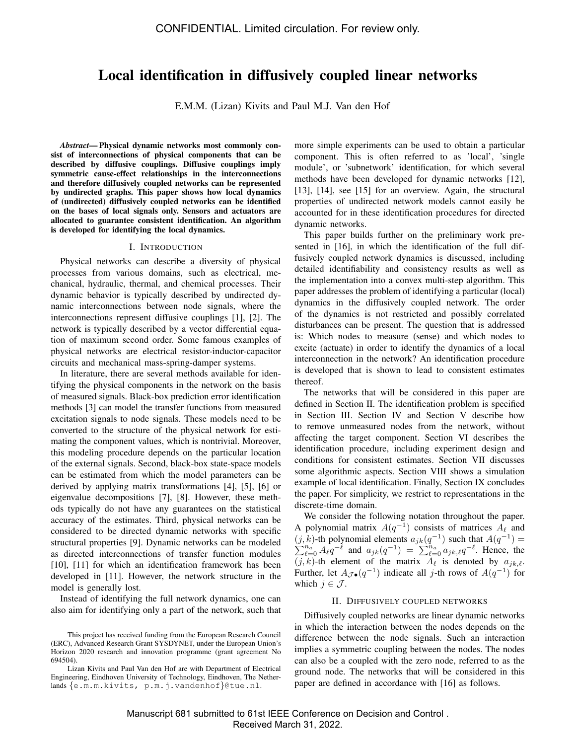# Local identification in diffusively coupled linear networks

E.M.M. (Lizan) Kivits and Paul M.J. Van den Hof

*Abstract*— Physical dynamic networks most commonly consist of interconnections of physical components that can be described by diffusive couplings. Diffusive couplings imply symmetric cause-effect relationships in the interconnections and therefore diffusively coupled networks can be represented by undirected graphs. This paper shows how local dynamics of (undirected) diffusively coupled networks can be identified on the bases of local signals only. Sensors and actuators are allocated to guarantee consistent identification. An algorithm is developed for identifying the local dynamics.

#### I. INTRODUCTION

Physical networks can describe a diversity of physical processes from various domains, such as electrical, mechanical, hydraulic, thermal, and chemical processes. Their dynamic behavior is typically described by undirected dynamic interconnections between node signals, where the interconnections represent diffusive couplings [1], [2]. The network is typically described by a vector differential equation of maximum second order. Some famous examples of physical networks are electrical resistor-inductor-capacitor circuits and mechanical mass-spring-damper systems.

In literature, there are several methods available for identifying the physical components in the network on the basis of measured signals. Black-box prediction error identification methods [3] can model the transfer functions from measured excitation signals to node signals. These models need to be converted to the structure of the physical network for estimating the component values, which is nontrivial. Moreover, this modeling procedure depends on the particular location of the external signals. Second, black-box state-space models can be estimated from which the model parameters can be derived by applying matrix transformations [4], [5], [6] or eigenvalue decompositions [7], [8]. However, these methods typically do not have any guarantees on the statistical accuracy of the estimates. Third, physical networks can be considered to be directed dynamic networks with specific structural properties [9]. Dynamic networks can be modeled as directed interconnections of transfer function modules [10], [11] for which an identification framework has been developed in [11]. However, the network structure in the model is generally lost.

Instead of identifying the full network dynamics, one can also aim for identifying only a part of the network, such that more simple experiments can be used to obtain a particular component. This is often referred to as 'local', 'single module', or 'subnetwork' identification, for which several methods have been developed for dynamic networks [12], [13], [14], see [15] for an overview. Again, the structural properties of undirected network models cannot easily be accounted for in these identification procedures for directed dynamic networks.

This paper builds further on the preliminary work presented in [16], in which the identification of the full diffusively coupled network dynamics is discussed, including detailed identifiability and consistency results as well as the implementation into a convex multi-step algorithm. This paper addresses the problem of identifying a particular (local) dynamics in the diffusively coupled network. The order of the dynamics is not restricted and possibly correlated disturbances can be present. The question that is addressed is: Which nodes to measure (sense) and which nodes to excite (actuate) in order to identify the dynamics of a local interconnection in the network? An identification procedure is developed that is shown to lead to consistent estimates thereof.

The networks that will be considered in this paper are defined in Section II. The identification problem is specified in Section III. Section IV and Section V describe how to remove unmeasured nodes from the network, without affecting the target component. Section VI describes the identification procedure, including experiment design and conditions for consistent estimates. Section VII discusses some algorithmic aspects. Section VIII shows a simulation example of local identification. Finally, Section IX concludes the paper. For simplicity, we restrict to representations in the discrete-time domain.

We consider the following notation throughout the paper. A polynomial matrix  $A(q^{-1})$  consists of matrices  $A_{\ell}$  and  $(j, k)$ -th polynomial elements  $a_{jk}(q^{-1})$  such that  $A(q^{-1})$  $\sum$ k)-th polynomial elements  $a_{jk}(q^{-1})$  such that  $A(q^{-1}) =$ <br> $\sum_{\ell=0}^{n_a} A_{\ell} q^{-\ell}$  and  $a_{jk}(q^{-1}) = \sum_{\ell=0}^{n_a} a_{jk,\ell} q^{-\ell}$ . Hence, the  $(j, k)$ -th element of the matrix  $A_{\ell}$  is denoted by  $a_{jk,\ell}$ . Further, let  $A_{\mathcal{J}\bullet}(q^{-1})$  indicate all j-th rows of  $A(q^{-1})$  for which  $j \in \mathcal{J}$ .

## II. DIFFUSIVELY COUPLED NETWORKS

Diffusively coupled networks are linear dynamic networks in which the interaction between the nodes depends on the difference between the node signals. Such an interaction implies a symmetric coupling between the nodes. The nodes can also be a coupled with the zero node, referred to as the ground node. The networks that will be considered in this paper are defined in accordance with [16] as follows.

This project has received funding from the European Research Council (ERC), Advanced Research Grant SYSDYNET, under the European Union's Horizon 2020 research and innovation programme (grant agreement No 694504).

Lizan Kivits and Paul Van den Hof are with Department of Electrical Engineering, Eindhoven University of Technology, Eindhoven, The Netherlands {e.m.m.kivits, p.m.j.vandenhof}@tue.nl.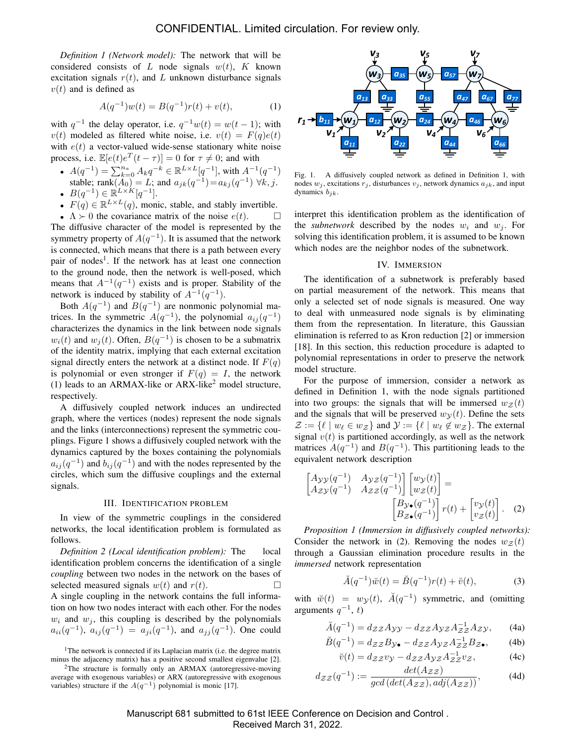*Definition 1 (Network model):* The network that will be considered consists of L node signals  $w(t)$ , K known excitation signals  $r(t)$ , and L unknown disturbance signals  $v(t)$  and is defined as

$$
A(q^{-1})w(t) = B(q^{-1})r(t) + v(t),
$$
 (1)

with  $q^{-1}$  the delay operator, i.e.  $q^{-1}w(t) = w(t-1)$ ; with  $v(t)$  modeled as filtered white noise, i.e.  $v(t) = F(q)e(t)$ with  $e(t)$  a vector-valued wide-sense stationary white noise process, i.e.  $\mathbb{E}[e(t)e^{T}(t-\tau)] = 0$  for  $\tau \neq 0$ ; and with

- $A(q^{-1}) = \sum_{k=0}^{n_a} A_k q^{-k} \in \mathbb{R}^{L \times L}[q^{-1}]$ , with  $A^{-1}(q^{-1})$ stable; rank $(A_0) = L$ ; and  $a_{jk}(q^{-1}) = a_{kj}(q^{-1}) \ \forall k, j$ . •  $B(q^{-1}) \in \mathbb{R}^{L \times K}[q^{-1}].$
- $F(q) \in \mathbb{R}^{L \times L}(q)$ , monic, stable, and stably invertible.

•  $\Lambda \succ 0$  the covariance matrix of the noise  $e(t)$ .  $\Box$ The diffusive character of the model is represented by the symmetry property of  $A(q^{-1})$ . It is assumed that the network is connected, which means that there is a path between every pair of nodes<sup>1</sup>. If the network has at least one connection to the ground node, then the network is well-posed, which means that  $A^{-1}(q^{-1})$  exists and is proper. Stability of the network is induced by stability of  $A^{-1}(q^{-1})$ .

Both  $A(q^{-1})$  and  $B(q^{-1})$  are nonmonic polynomial matrices. In the symmetric  $A(q^{-1})$ , the polynomial  $a_{ij}(q^{-1})$ characterizes the dynamics in the link between node signals  $w_i(t)$  and  $w_j(t)$ . Often,  $B(q^{-1})$  is chosen to be a submatrix of the identity matrix, implying that each external excitation signal directly enters the network at a distinct node. If  $F(q)$ is polynomial or even stronger if  $F(q) = I$ , the network (1) leads to an ARMAX-like or ARX-like<sup>2</sup> model structure, respectively.

A diffusively coupled network induces an undirected graph, where the vertices (nodes) represent the node signals and the links (interconnections) represent the symmetric couplings. Figure 1 shows a diffusively coupled network with the dynamics captured by the boxes containing the polynomials  $a_{ij}(q^{-1})$  and  $b_{ij}(q^{-1})$  and with the nodes represented by the circles, which sum the diffusive couplings and the external signals.

#### III. IDENTIFICATION PROBLEM

In view of the symmetric couplings in the considered networks, the local identification problem is formulated as follows.

*Definition 2 (Local identification problem):* The local identification problem concerns the identification of a single *coupling* between two nodes in the network on the bases of selected measured signals  $w(t)$  and  $r(t)$ .  $\Box$ A single coupling in the network contains the full information on how two nodes interact with each other. For the nodes  $w_i$  and  $w_j$ , this coupling is described by the polynomials  $a_{ii}(q^{-1}), a_{ij}(q^{-1}) = a_{ji}(q^{-1}),$  and  $a_{jj}(q^{-1})$ . One could



Fig. 1. A diffusively coupled network as defined in Definition 1, with nodes  $w_i$ , excitations  $r_i$ , disturbances  $v_i$ , network dynamics  $a_{ik}$ , and input dynamics  $b_{ik}$ .

interpret this identification problem as the identification of the *subnetwork* described by the nodes  $w_i$  and  $w_j$ . For solving this identification problem, it is assumed to be known which nodes are the neighbor nodes of the subnetwork.

## IV. IMMERSION

The identification of a subnetwork is preferably based on partial measurement of the network. This means that only a selected set of node signals is measured. One way to deal with unmeasured node signals is by eliminating them from the representation. In literature, this Gaussian elimination is referred to as Kron reduction [2] or immersion [18]. In this section, this reduction procedure is adapted to polynomial representations in order to preserve the network model structure.

For the purpose of immersion, consider a network as defined in Definition 1, with the node signals partitioned into two groups: the signals that will be immersed  $w_z(t)$ and the signals that will be preserved  $w<sub>V</sub>(t)$ . Define the sets  $\mathcal{Z} := \{ \ell \mid w_{\ell} \in w_{\mathcal{Z}} \}$  and  $\mathcal{Y} := \{ \ell \mid w_{\ell} \notin w_{\mathcal{Z}} \}$ . The external signal  $v(t)$  is partitioned accordingly, as well as the network matrices  $A(q^{-1})$  and  $B(q^{-1})$ . This partitioning leads to the equivalent network description

$$
\begin{bmatrix} A_{\mathcal{Y}\mathcal{Y}}(q^{-1}) & A_{\mathcal{Y}\mathcal{Z}}(q^{-1}) \\ A_{\mathcal{Z}\mathcal{Y}}(q^{-1}) & A_{\mathcal{Z}\mathcal{Z}}(q^{-1}) \end{bmatrix} \begin{bmatrix} w_{\mathcal{Y}}(t) \\ w_{\mathcal{Z}}(t) \end{bmatrix} = \begin{bmatrix} B_{\mathcal{Y}\bullet}(q^{-1}) \\ B_{\mathcal{Z}\bullet}(q^{-1}) \end{bmatrix} r(t) + \begin{bmatrix} v_{\mathcal{Y}}(t) \\ v_{\mathcal{Z}}(t) \end{bmatrix} . \tag{2}
$$

*Proposition 1 (Immersion in diffusively coupled networks):* Consider the network in (2). Removing the nodes  $w_z(t)$ through a Gaussian elimination procedure results in the *immersed* network representation

$$
\breve{A}(q^{-1})\breve{w}(t) = \breve{B}(q^{-1})r(t) + \breve{v}(t),
$$
\n(3)

with  $\check{w}(t) = w_{\mathcal{Y}}(t)$ ,  $\check{A}(q^{-1})$  symmetric, and (omitting arguments  $q^{-1}$ , t)

$$
\breve{A}(q^{-1}) = d_{\mathcal{Z}\mathcal{Z}} A_{\mathcal{Y}\mathcal{Y}} - d_{\mathcal{Z}\mathcal{Z}} A_{\mathcal{Y}\mathcal{Z}} A_{\mathcal{Z}\mathcal{Z}}^{-1} A_{\mathcal{Z}\mathcal{Y}},\qquad(4a)
$$

$$
\breve{B}(q^{-1}) = d_{\mathcal{Z}\mathcal{Z}}B_{\mathcal{Y}\bullet} - d_{\mathcal{Z}\mathcal{Z}}A_{\mathcal{Y}\mathcal{Z}}A_{\mathcal{Z}\mathcal{Z}}^{-1}B_{\mathcal{Z}\bullet},\qquad(4b)
$$

$$
\breve{v}(t) = d_{\mathcal{Z}\mathcal{Z}}v_{\mathcal{Y}} - d_{\mathcal{Z}\mathcal{Z}}A_{\mathcal{Y}\mathcal{Z}}A_{\mathcal{Z}\mathcal{Z}}^{-1}v_{\mathcal{Z}},\tag{4c}
$$

$$
d_{\mathcal{ZZ}}(q^{-1}) := \frac{\det(A_{\mathcal{ZZ}})}{\gcd(\det(A_{\mathcal{ZZ}}), \operatorname{adj}(A_{\mathcal{ZZ}}))},\tag{4d}
$$

Manuscript 681 submitted to 61st IEEE Conference on Decision and Control . Received March 31, 2022.

<sup>&</sup>lt;sup>1</sup>The network is connected if its Laplacian matrix (i.e. the degree matrix minus the adjacency matrix) has a positive second smallest eigenvalue [2].

 $2$ The structure is formally only an ARMAX (autoregressive-moving average with exogenous variables) or ARX (autoregressive with exogenous variables) structure if the  $A(q^{-1})$  polynomial is monic [17].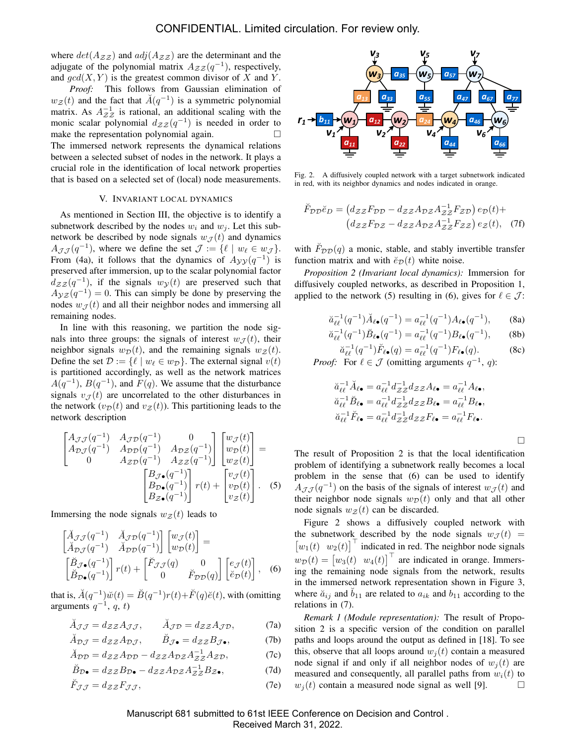where  $det(A_{\mathcal{ZZ}})$  and  $adj(A_{\mathcal{ZZ}})$  are the determinant and the adjugate of the polynomial matrix  $A_{\mathcal{Z} \mathcal{Z}}(q^{-1})$ , respectively, and  $gcd(X, Y)$  is the greatest common divisor of X and Y.

*Proof:* This follows from Gaussian elimination of  $w_{\mathcal{Z}}(t)$  and the fact that  $\breve{A}(q^{-1})$  is a symmetric polynomial matrix. As  $A_{ZZ}^{-1}$  is rational, an additional scaling with the monic scalar polynomial  $d_{\mathcal{Z}Z}(q^{-1})$  is needed in order to make the representation polynomial again.  $□$ The immersed network represents the dynamical relations between a selected subset of nodes in the network. It plays a crucial role in the identification of local network properties that is based on a selected set of (local) node measurements.

#### V. INVARIANT LOCAL DYNAMICS

As mentioned in Section III, the objective is to identify a subnetwork described by the nodes  $w_i$  and  $w_j$ . Let this subnetwork be described by node signals  $w_{\mathcal{J}}(t)$  and dynamics  $A_{\mathcal{JJ}}(q^{-1})$ , where we define the set  $\mathcal{J} := \{ \ell \mid w_{\ell} \in w_{\mathcal{J}} \}.$ From (4a), it follows that the dynamics of  $A_{yy}(q^{-1})$  is preserved after immersion, up to the scalar polynomial factor  $d_{\mathcal{Z}Z}(q^{-1})$ , if the signals  $w_{\mathcal{Y}}(t)$  are preserved such that  $A_{\mathcal{Y}Z}(q^{-1})=0$ . This can simply be done by preserving the nodes  $w_{\mathcal{J}}(t)$  and all their neighbor nodes and immersing all remaining nodes.

In line with this reasoning, we partition the node signals into three groups: the signals of interest  $w_{\mathcal{I}}(t)$ , their neighbor signals  $w_{\mathcal{D}}(t)$ , and the remaining signals  $w_{\mathcal{Z}}(t)$ . Define the set  $\mathcal{D} := \{ \ell \mid w_{\ell} \in w_{\mathcal{D}} \}.$  The external signal  $v(t)$ is partitioned accordingly, as well as the network matrices  $A(q^{-1})$ ,  $B(q^{-1})$ , and  $F(q)$ . We assume that the disturbance signals  $v_{\mathcal{I}}(t)$  are uncorrelated to the other disturbances in the network  $(v<sub>D</sub>(t))$  and  $v<sub>Z</sub>(t)$ ). This partitioning leads to the network description

$$
\begin{bmatrix}\nA_{\mathcal{J}}g(q^{-1}) & A_{\mathcal{J}}p(q^{-1}) & 0 \\
A_{\mathcal{D}}g(q^{-1}) & A_{\mathcal{D}}p(q^{-1}) & A_{\mathcal{D}}g(q^{-1}) \\
0 & A_{\mathcal{Z}}p(q^{-1}) & A_{\mathcal{Z}}g(q^{-1})\n\end{bmatrix}\n\begin{bmatrix}\nw_{\mathcal{J}}(t) \\
w_{\mathcal{D}}(t) \\
w_{\mathcal{Z}}(t)\n\end{bmatrix} = \n\begin{bmatrix}\nB_{\mathcal{J}\bullet}(q^{-1}) \\
B_{\mathcal{D}\bullet}(q^{-1}) \\
B_{\mathcal{Z}\bullet}(q^{-1})\n\end{bmatrix} r(t) + \begin{bmatrix} v_{\mathcal{J}}(t) \\
v_{\mathcal{D}}(t) \\
v_{\mathcal{Z}}(t)\n\end{bmatrix}.
$$
\n(5)

Immersing the node signals  $w_z(t)$  leads to

$$
\begin{bmatrix}\n\breve{A}_{\mathcal{J}\mathcal{J}}(q^{-1}) & \breve{A}_{\mathcal{J}\mathcal{D}}(q^{-1}) \\
\breve{A}_{\mathcal{D}\mathcal{J}}(q^{-1}) & \breve{A}_{\mathcal{D}\mathcal{D}}(q^{-1})\n\end{bmatrix}\n\begin{bmatrix}\nw_{\mathcal{J}}(t) \\
w_{\mathcal{D}}(t)\n\end{bmatrix} = \n\begin{bmatrix}\n\breve{B}_{\mathcal{J}\bullet}(q^{-1}) \\
\breve{B}_{\mathcal{D}\bullet}(q^{-1})\n\end{bmatrix} r(t) + \n\begin{bmatrix}\n\breve{F}_{\mathcal{J}\mathcal{J}}(q) & 0 \\
0 & \breve{F}_{\mathcal{D}\mathcal{D}}(q)\n\end{bmatrix}\n\begin{bmatrix}\ne_{\mathcal{J}}(t) \\
\breve{e}_{\mathcal{D}}(t)\n\end{bmatrix},
$$
\n(6)

that is,  $\breve{A}(q^{-1})\breve{w}(t) = \breve{B}(q^{-1})r(t) + \breve{F}(q)\breve{e}(t)$ , with (omitting arguments  $q^{-1}$ , q, t)

$$
\check{A}_{\mathcal{J}\mathcal{J}} = d_{\mathcal{Z}\mathcal{Z}} A_{\mathcal{J}\mathcal{J}}, \qquad \check{A}_{\mathcal{J}\mathcal{D}} = d_{\mathcal{Z}\mathcal{Z}} A_{\mathcal{J}\mathcal{D}}, \tag{7a}
$$

$$
\breve{A}_{\mathcal{D}\mathcal{J}} = d_{\mathcal{Z}\mathcal{Z}} A_{\mathcal{D}\mathcal{J}}, \qquad \breve{B}_{\mathcal{J}\bullet} = d_{\mathcal{Z}\mathcal{Z}} B_{\mathcal{J}\bullet}, \tag{7b}
$$

$$
\breve{A}_{\mathcal{D}\mathcal{D}} = d_{\mathcal{Z}\mathcal{Z}} A_{\mathcal{D}\mathcal{D}} - d_{\mathcal{Z}\mathcal{Z}} A_{\mathcal{D}\mathcal{Z}} A_{\mathcal{Z}\mathcal{Z}}^{-1} A_{\mathcal{Z}\mathcal{D}},\tag{7c}
$$

$$
\breve{B}_{\mathcal{D}\bullet} = d_{\mathcal{Z}\mathcal{Z}}B_{\mathcal{D}\bullet} - d_{\mathcal{Z}\mathcal{Z}}A_{\mathcal{D}\mathcal{Z}}A_{\mathcal{Z}\mathcal{Z}}^{-1}B_{\mathcal{Z}\bullet},\tag{7d}
$$

$$
\breve{F}_{\mathcal{J}\mathcal{J}} = d_{\mathcal{Z}\mathcal{Z}} F_{\mathcal{J}\mathcal{J}},\tag{7e}
$$



Fig. 2. A diffusively coupled network with a target subnetwork indicated in red, with its neighbor dynamics and nodes indicated in orange.

$$
\breve{F}_{\mathcal{D}\mathcal{D}}\breve{e}_D = (d_{\mathcal{Z}\mathcal{Z}}F_{\mathcal{D}\mathcal{D}} - d_{\mathcal{Z}\mathcal{Z}}A_{\mathcal{D}\mathcal{Z}}A_{\mathcal{Z}\mathcal{Z}}^{-1}F_{\mathcal{Z}\mathcal{D}}) e_{\mathcal{D}}(t) + (d_{\mathcal{Z}\mathcal{Z}}F_{\mathcal{D}\mathcal{Z}} - d_{\mathcal{Z}\mathcal{Z}}A_{\mathcal{D}\mathcal{Z}}A_{\mathcal{Z}\mathcal{Z}}^{-1}F_{\mathcal{Z}\mathcal{Z}}) e_{\mathcal{Z}}(t), \quad (7f)
$$

with  $\tilde{F}_{\mathcal{D}\mathcal{D}}(q)$  a monic, stable, and stably invertible transfer function matrix and with  $\breve{e}_{\mathcal{D}}(t)$  white noise.

*Proposition 2 (Invariant local dynamics):* Immersion for diffusively coupled networks, as described in Proposition 1, applied to the network (5) resulting in (6), gives for  $\ell \in \mathcal{J}$ :

$$
\breve{a}_{\ell\ell}^{-1}(q^{-1})\breve{A}_{\ell\bullet}(q^{-1}) = a_{\ell\ell}^{-1}(q^{-1})A_{\ell\bullet}(q^{-1}),\tag{8a}
$$

$$
\breve{a}_{\ell\ell}^{-1}(q^{-1})\breve{B}_{\ell\bullet}(q^{-1}) = a_{\ell\ell}^{-1}(q^{-1})B_{\ell\bullet}(q^{-1}),\tag{8b}
$$

$$
\breve{a}_{\ell\ell}^{-1}(q^{-1})\breve{F}_{\ell\bullet}(q) = a_{\ell\ell}^{-1}(q^{-1})F_{\ell\bullet}(q). \tag{8c}
$$

*Proof:* For  $\ell \in \mathcal{J}$  (omitting arguments  $q^{-1}$ , q):

$$
\begin{aligned}\n\breve{a}_{\ell\ell}^{-1} \breve{A}_{\ell\bullet} &= a_{\ell\ell}^{-1} d_{\mathcal{Z}\mathcal{Z}}^{-1} d_{\mathcal{Z}\mathcal{Z}} A_{\ell\bullet} = a_{\ell\ell}^{-1} A_{\ell\bullet}, \\
\breve{a}_{\ell\ell}^{-1} \breve{B}_{\ell\bullet} &= a_{\ell\ell}^{-1} d_{\mathcal{Z}\mathcal{Z}}^{-1} d_{\mathcal{Z}\mathcal{Z}} B_{\ell\bullet} = a_{\ell\ell}^{-1} B_{\ell\bullet}, \\
\breve{a}_{\ell\ell}^{-1} \breve{F}_{\ell\bullet} &= a_{\ell\ell}^{-1} d_{\mathcal{Z}\mathcal{Z}}^{-1} d_{\mathcal{Z}\mathcal{Z}} F_{\ell\bullet} = a_{\ell\ell}^{-1} F_{\ell\bullet}.\n\end{aligned}
$$

□

The result of Proposition 2 is that the local identification problem of identifying a subnetwork really becomes a local problem in the sense that (6) can be used to identify  $A_{\mathcal{J}\mathcal{J}}(q^{-1})$  on the basis of the signals of interest  $w_{\mathcal{J}}(t)$  and their neighbor node signals  $w_D(t)$  only and that all other node signals  $w_z(t)$  can be discarded.

Figure 2 shows a diffusively coupled network with the subnetwork described by the node signals  $w_{\mathcal{J}}(t)$  =  $\begin{bmatrix} w_1(t) & w_2(t) \end{bmatrix}^{\top}$  indicated in red. The neighbor node signals  $w_{\mathcal{D}}(t) = \begin{bmatrix} w_3(t) & w_4(t) \end{bmatrix}^\top$  are indicated in orange. Immersing the remaining node signals from the network, results in the immersed network representation shown in Figure 3, where  $\check{a}_{ij}$  and  $b_{11}$  are related to  $a_{ik}$  and  $b_{11}$  according to the relations in (7).

*Remark 1 (Module representation):* The result of Proposition 2 is a specific version of the condition on parallel paths and loops around the output as defined in [18]. To see this, observe that all loops around  $w_i(t)$  contain a measured node signal if and only if all neighbor nodes of  $w_i(t)$  are measured and consequently, all parallel paths from  $w_i(t)$  to  $w_i(t)$  contain a measured node signal as well [9].  $\Box$ 

Manuscript 681 submitted to 61st IEEE Conference on Decision and Control . Received March 31, 2022.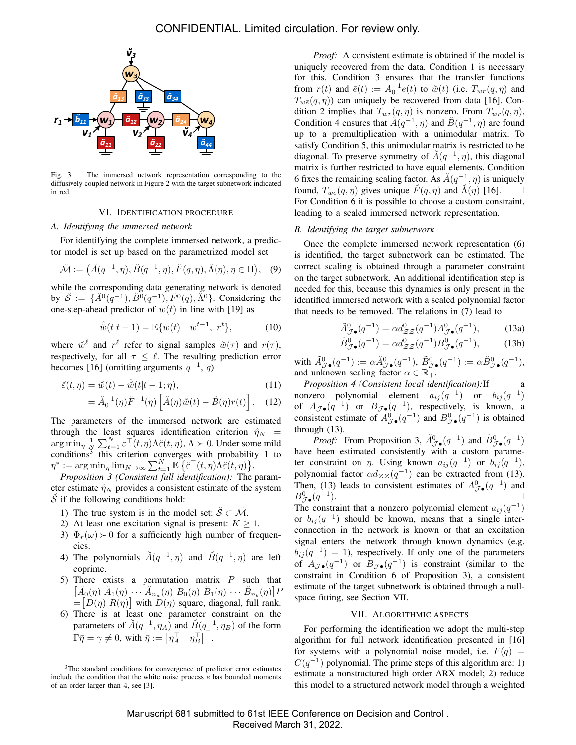

Fig. 3. The immersed network representation corresponding to the diffusively coupled network in Figure 2 with the target subnetwork indicated in red.

#### VI. IDENTIFICATION PROCEDURE

## *A. Identifying the immersed network*

For identifying the complete immersed network, a predictor model is set up based on the parametrized model set

$$
\breve{\mathcal{M}} := (\breve{A}(q^{-1}, \eta), \breve{B}(q^{-1}, \eta), \breve{F}(q, \eta), \breve{\Lambda}(\eta), \eta \in \Pi), \quad (9)
$$

while the corresponding data generating network is denoted by  $\check{S} := \{ \check{A}^0(q^{-1}), \check{B}^0(q^{-1}), \check{F}^0(q), \check{\Lambda}^0 \}$ . Considering the one-step-ahead predictor of  $\ddot{w}(t)$  in line with [19] as

$$
\hat{\dot{w}}(t|t-1) = \mathbb{E}\{\dot{w}(t) \mid \dot{w}^{t-1}, \ r^t\},\tag{10}
$$

where  $\check{w}^{\ell}$  and  $r^{\ell}$  refer to signal samples  $\check{w}(\tau)$  and  $r(\tau)$ , respectively, for all  $\tau \leq \ell$ . The resulting prediction error becomes [16] (omitting arguments  $q^{-1}$ , q)

$$
\breve{\varepsilon}(t,\eta) = \breve{w}(t) - \hat{\breve{w}}(t|t-1;\eta),\tag{11}
$$

$$
= \breve{A}_0^{-1}(\eta)\breve{F}^{-1}(\eta) \left[ \breve{A}(\eta)\breve{w}(t) - \breve{B}(\eta)r(t) \right]. \quad (12)
$$

The parameters of the immersed network are estimated through the least squares identification criterion  $\hat{\eta}_N$  =  $\arg\min_{\eta} \frac{1}{N} \sum_{t=1}^{N} \breve{\varepsilon}^{\top}(t,\eta) \Lambda \breve{\varepsilon}(t,\eta), \Lambda \succ 0$ . Under some mild conditions<sup>3</sup> this criterion converges with probability 1 to  $\eta^* := \arg\min_{\eta} \lim_{N \to \infty} \sum_{t=1}^N \mathbb{E} \left\{ \breve{\varepsilon}^\top(t, \eta) \dot{\Lambda} \breve{\varepsilon} (t, \eta) \right\}.$ 

*Proposition 3 (Consistent full identification):* The parameter estimate  $\hat{\eta}_N$  provides a consistent estimate of the system  $\check{S}$  if the following conditions hold:

- 1) The true system is in the model set:  $\check{S} \subset \check{\mathcal{M}}$ .
- 2) At least one excitation signal is present:  $K \geq 1$ .
- 3)  $\Phi_r(\omega)$  ≻ 0 for a sufficiently high number of frequencies.
- 4) The polynomials  $\check{A}(q^{-1}, \eta)$  and  $\check{B}(q^{-1}, \eta)$  are left coprime.
- 5) There exists a permutation matrix  $P$  such that  $\left[\check{A}_0(\eta) \; \check{A}_1(\eta) \; \cdots \; \check{A}_{n_a}(\eta) \; \check{B}_0(\eta) \; \check{B}_1(\eta) \; \cdots \; \check{B}_{n_b}(\eta)\right]$ F  $=[D(\eta) R(\eta)]$  with  $D(\eta)$  square, diagonal, full rank.
- 6) There is at least one parameter constraint on the parameters of  $\breve{A}(q^{-1}, \eta_A)$  and  $\breve{B}(q^{-1}, \eta_B)$  of the form  $\Gamma \bar{\eta} = \gamma \neq 0$ , with  $\bar{\eta} := \begin{bmatrix} \eta_A^\top & \eta_B^\top \end{bmatrix}^\top$ .

*Proof:* A consistent estimate is obtained if the model is uniquely recovered from the data. Condition 1 is necessary for this. Condition 3 ensures that the transfer functions from  $r(t)$  and  $\bar{e}(t) := A_0^{-1} e(t)$  to  $\breve{w}(t)$  (i.e.  $T_{wr}(q, \eta)$  and  $T_{w\bar{e}}(q, \eta)$  can uniquely be recovered from data [16]. Condition 2 implies that  $T_{wr}(q, \eta)$  is nonzero. From  $T_{wr}(q, \eta)$ , Condition 4 ensures that  $\tilde{A}(q^{-1}, \eta)$  and  $\tilde{B}(q^{-1}, \eta)$  are found up to a premultiplication with a unimodular matrix. To satisfy Condition 5, this unimodular matrix is restricted to be diagonal. To preserve symmetry of  $\breve{A}(q^{-1}, \eta)$ , this diagonal matrix is further restricted to have equal elements. Condition 6 fixes the remaining scaling factor. As  $\breve{A}(q^{-1}, \eta)$  is uniquely found,  $T_{w\bar{\varepsilon}}(q,\eta)$  gives unique  $\tilde{F}(q,\eta)$  and  $\tilde{\Lambda}(\eta)$  [16].  $\Box$ For Condition 6 it is possible to choose a custom constraint, leading to a scaled immersed network representation.

#### *B. Identifying the target subnetwork*

Once the complete immersed network representation (6) is identified, the target subnetwork can be estimated. The correct scaling is obtained through a parameter constraint on the target subnetwork. An additional identification step is needed for this, because this dynamics is only present in the identified immersed network with a scaled polynomial factor that needs to be removed. The relations in (7) lead to

$$
\tilde{A}_{\mathcal{J}\bullet}^{0}(q^{-1}) = \alpha d_{\mathcal{Z}\mathcal{Z}}^{0}(q^{-1}) A_{\mathcal{J}\bullet}^{0}(q^{-1}),\tag{13a}
$$

$$
\tilde{B}_{\mathcal{J}\bullet}^{0}(q^{-1}) = \alpha d_{\mathcal{Z}\mathcal{Z}}^{0}(q^{-1}) B_{\mathcal{J}\bullet}^{0}(q^{-1}), \qquad (13b)
$$

with  $\tilde{A}_{\mathcal{J}\bullet}^{0}(q^{-1}):=\alpha \check{A}_{\mathcal{J}\bullet}^{0}(q^{-1}), \ \tilde{B}_{\mathcal{J}\bullet}^{0}(q^{-1}):=\alpha \check{B}_{\mathcal{J}\bullet}^{0}(q^{-1}),$ and unknown scaling factor  $\alpha \in \mathbb{R}_+$ .

*Proposition 4 (Consistent local identification):*If nonzero polynomial element  $a_{ij}(q^{-1})$  or  $b_{ij}(q^{-1})$ of  $A_{\mathcal{J}\bullet}(q^{-1})$  or  $B_{\mathcal{J}\bullet}(q^{-1})$ , respectively, is known, a consistent estimate of  $A^0_{\mathcal{J}\bullet}(q^{-1})$  and  $B^0_{\mathcal{J}\bullet}(q^{-1})$  is obtained through (13).

*Proof:* From Proposition 3,  $\tilde{A}^0_{\mathcal{J}\bullet}(q^{-1})$  and  $\tilde{B}^0_{\mathcal{J}\bullet}(q^{-1})$ have been estimated consistently with a custom parameter constraint on  $\eta$ . Using known  $a_{ij}(q^{-1})$  or  $b_{ij}(q^{-1})$ , polynomial factor  $\alpha d_{\mathcal{Z} \mathcal{Z}}(q^{-1})$  can be extracted from (13). Then, (13) leads to consistent estimates of  $A^0_{\mathcal{J}\bullet}(q^{-1})$  and  $B_{\mathcal{J}\bullet}^{0}(q^{-1}% ,q^{-1})=\frac{1}{\sqrt{2}}\sum_{k=0}^{\infty}(q^{-k})^{\frac{1}{2}}\left( \sum_{k=0}^{\infty}(q^{-k})^{\frac{1}{2}}\right) ^{k}$ ).  $\Box$ The constraint that a nonzero polynomial element  $a_{ij}(q^{-1})$ or  $b_{ij}(q^{-1})$  should be known, means that a single interconnection in the network is known or that an excitation signal enters the network through known dynamics (e.g.  $b_{ij}(q^{-1}) = 1$ ), respectively. If only one of the parameters of  $A_{\mathcal{J}\bullet}(q^{-1})$  or  $B_{\mathcal{J}\bullet}(q^{-1})$  is constraint (similar to the constraint in Condition 6 of Proposition 3), a consistent estimate of the target subnetwork is obtained through a nullspace fitting, see Section VII.

#### VII. ALGORITHMIC ASPECTS

For performing the identification we adopt the multi-step algorithm for full network identification presented in [16] for systems with a polynomial noise model, i.e.  $F(q) =$  $C(q^{-1})$  polynomial. The prime steps of this algorithm are: 1) estimate a nonstructured high order ARX model; 2) reduce this model to a structured network model through a weighted

Manuscript 681 submitted to 61st IEEE Conference on Decision and Control . Received March 31, 2022.

<sup>&</sup>lt;sup>3</sup>The standard conditions for convergence of predictor error estimates include the condition that the white noise process e has bounded moments of an order larger than 4, see [3].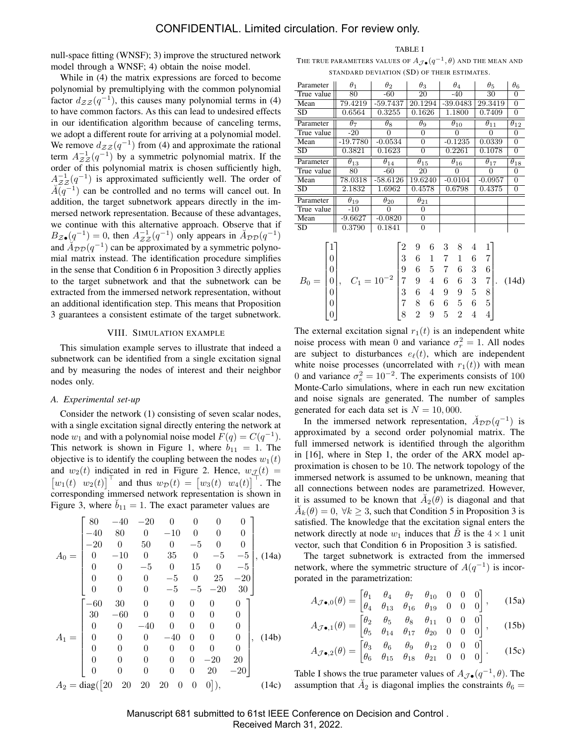null-space fitting (WNSF); 3) improve the structured network model through a WNSF; 4) obtain the noise model.

While in (4) the matrix expressions are forced to become polynomial by premultiplying with the common polynomial factor  $d_{\mathcal{Z}Z}(q^{-1})$ , this causes many polynomial terms in (4) to have common factors. As this can lead to undesired effects in our identification algorithm because of canceling terms, we adopt a different route for arriving at a polynomial model. We remove  $d_{\mathcal{Z}Z}(q^{-1})$  from (4) and approximate the rational term  $A_{\mathcal{Z}Z}^{-1}(q^{-1})$  by a symmetric polynomial matrix. If the order of this polynomial matrix is chosen sufficiently high,  $A^{-1}_{\mathcal{Z}Z}(q^{-1})$  is approximated sufficiently well. The order of  $\widetilde{A(q^{-1})}$  can be controlled and no terms will cancel out. In addition, the target subnetwork appears directly in the immersed network representation. Because of these advantages, we continue with this alternative approach. Observe that if  $B_{\mathcal{Z}\bullet}(q^{-1})=0$ , then  $A_{\mathcal{Z}\mathcal{Z}}^{-1}(q^{-1})$  only appears in  $\mathcal{A}_{\mathcal{DD}}(q^{-1})$ and  $\widetilde{A}_{\mathcal{DD}}(q^{-1})$  can be approximated by a symmetric polynomial matrix instead. The identification procedure simplifies in the sense that Condition 6 in Proposition 3 directly applies to the target subnetwork and that the subnetwork can be extracted from the immersed network representation, without an additional identification step. This means that Proposition 3 guarantees a consistent estimate of the target subnetwork.

## VIII. SIMULATION EXAMPLE

This simulation example serves to illustrate that indeed a subnetwork can be identified from a single excitation signal and by measuring the nodes of interest and their neighbor nodes only.

# *A. Experimental set-up*

Consider the network (1) consisting of seven scalar nodes, with a single excitation signal directly entering the network at node  $w_1$  and with a polynomial noise model  $F(q) = C(q^{-1})$ . This network is shown in Figure 1, where  $b_{11} = 1$ . The objective is to identify the coupling between the nodes  $w_1(t)$ and  $w_2(t)$  indicated in red in Figure 2. Hence,  $w_{\mathcal{J}}(t)$  =  $\begin{bmatrix} w_1(t) & w_2(t) \end{bmatrix}^{\top}$  and thus  $w_{\mathcal{D}}(t) = \begin{bmatrix} w_3(t) & w_4(t) \end{bmatrix}^{\top}$ . The corresponding immersed network representation is shown in Figure 3, where  $b_{11} = 1$ . The exact parameter values are

$$
A_0 = \begin{bmatrix} 80 & -40 & -20 & 0 & 0 & 0 & 0 \\ -40 & 80 & 0 & -10 & 0 & 0 & 0 \\ -20 & 0 & 50 & 0 & -5 & 0 & 0 \\ 0 & -10 & 0 & 35 & 0 & -5 & -5 \\ 0 & 0 & -5 & 0 & 15 & 0 & -5 \\ 0 & 0 & 0 & -5 & 0 & 25 & -20 \\ 0 & 0 & 0 & -5 & -5 & -20 & 30 \end{bmatrix}
$$
  
\n
$$
A_1 = \begin{bmatrix} -60 & 30 & 0 & 0 & 0 & 0 & 0 \\ 30 & -60 & 0 & 0 & 0 & 0 & 0 \\ 0 & 0 & 0 & -40 & 0 & 0 & 0 & 0 \\ 0 & 0 & 0 & 0 & 0 & 0 & 0 & 0 \\ 0 & 0 & 0 & 0 & 0 & 0 & 0 & 0 \\ 0 & 0 & 0 & 0 & 0 & 0 & -20 & 20 \\ 0 & 0 & 0 & 0 & 0 & 0 & 20 & -20 \end{bmatrix}
$$
  
\n
$$
A_2 = diag([20 \ 20 \ 20 \ 20 \ 20 \ 0 \ 0 \ 0)], \quad (14c)
$$

TABLE I

THE TRUE PARAMETERS VALUES OF  $A_{\mathcal{J}\bullet}(q^{-1},\theta)$  and the mean and STANDARD DEVIATION (SD) OF THEIR ESTIMATES.

| Parameter  | $\theta_1$               | $\theta_2$               | $\theta_3$          | $\theta_4$               | $\theta_{5}$             | $\theta_6$               |
|------------|--------------------------|--------------------------|---------------------|--------------------------|--------------------------|--------------------------|
| True value | 80                       | $-60$                    | 20                  | $-40$                    | 30                       | $\theta$                 |
| Mean       | 79.4219                  | $-59.7437$               | 20.1294             | -39.0483                 | 29.3419                  | $\overline{0}$           |
| SD         | 0.6564                   | 0.3255                   | 0.1626              | 1.1800                   | 0.7409                   | $\boldsymbol{0}$         |
| Parameter  | $\theta_7$               | $\theta_8$               | $\theta_9$          | $\overline{\theta}_{10}$ | $\overline{\theta}_{11}$ | $\overline{\theta}_{12}$ |
| True value | $-20$                    | 0                        | 0                   | 0                        | 0                        | 0                        |
| Mean       | $-19.7780$               | $-0.0534$                | $\theta$            | $-0.1235$                | 0.0339                   | $\overline{0}$           |
| SD         | 0.3821                   | 0.1623                   | 0                   | 0.2261                   | 0.1078                   | $\boldsymbol{0}$         |
| Parameter  | $\theta_{13}$            | $\theta_{14}$            | $\theta_{15}$       | $\overline{\theta}_{16}$ | $\theta_{17}$            | $\overline{\theta}_{18}$ |
| True value | 80                       | -60                      | 20                  | $\Omega$                 | $\theta$                 | $\overline{0}$           |
| Mean       | 78.0318                  | -58.6126                 | 19.6240             | $-0.0104$                | $-0.0957$                | $\overline{0}$           |
| SD         | 2.1832                   | 1.6962                   | 0.4578              | 0.6798                   | 0.4375                   | $\overline{0}$           |
| Parameter  | $\overline{\theta}_{19}$ | $\overline{\theta}_{20}$ | $\bar{\theta}_{21}$ |                          |                          |                          |
| True value | $-10$                    | 0                        | 0                   |                          |                          |                          |
| Mean       | $-9.6627$                | $-0.0820$                | 0                   |                          |                          |                          |
| SD         | 0.3790                   | 0.1841                   | $\theta$            |                          |                          |                          |
|            |                          |                          |                     |                          |                          |                          |
|            |                          |                          | 6<br>9              | 3<br>8<br>4              | 1                        |                          |
| 0          |                          | 3                        | 6<br>1              | 6<br>1                   | 7                        |                          |

$$
B_0 = \begin{bmatrix} 0 \\ 0 \\ 0 \\ 0 \\ 0 \\ 0 \\ 0 \end{bmatrix}, \quad C_1 = 10^{-2} \begin{bmatrix} 3 & 6 & 1 & 7 & 1 & 6 & 7 \\ 3 & 6 & 1 & 7 & 1 & 6 & 7 \\ 9 & 6 & 5 & 7 & 6 & 3 & 6 \\ 7 & 9 & 4 & 6 & 6 & 3 & 7 \\ 3 & 6 & 4 & 9 & 9 & 5 & 8 \\ 7 & 8 & 6 & 6 & 5 & 6 & 5 \\ 8 & 2 & 9 & 5 & 2 & 4 & 4 \end{bmatrix}. \quad (14d)
$$

The external excitation signal  $r_1(t)$  is an independent white noise process with mean 0 and variance  $\sigma_r^2 = 1$ . All nodes are subject to disturbances  $e_{\ell}(t)$ , which are independent white noise processes (uncorrelated with  $r_1(t)$ ) with mean 0 and variance  $\sigma_e^2 = 10^{-2}$ . The experiments consists of 100 Monte-Carlo simulations, where in each run new excitation and noise signals are generated. The number of samples generated for each data set is  $N = 10,000$ .

In the immersed network representation,  $\check{A}_{\mathcal{DD}}(q^{-1})$  is approximated by a second order polynomial matrix. The full immersed network is identified through the algorithm in [16], where in Step 1, the order of the ARX model approximation is chosen to be 10. The network topology of the immersed network is assumed to be unknown, meaning that all connections between nodes are parametrized. However, it is assumed to be known that  $\breve{A}_2(\theta)$  is diagonal and that  $\breve{A}_k(\theta) = 0, \ \forall k \geq 3$ , such that Condition 5 in Proposition 3 is satisfied. The knowledge that the excitation signal enters the network directly at node  $w_1$  induces that  $\tilde{B}$  is the  $4 \times 1$  unit vector, such that Condition 6 in Proposition 3 is satisfied.

The target subnetwork is extracted from the immersed network, where the symmetric structure of  $A(q^{-1})$  is incorporated in the parametrization:

$$
A_{\mathcal{J}\bullet,0}(\theta) = \begin{bmatrix} \theta_1 & \theta_4 & \theta_7 & \theta_{10} & 0 & 0 & 0 \\ \theta_4 & \theta_{13} & \theta_{16} & \theta_{19} & 0 & 0 & 0 \end{bmatrix}, \quad (15a)
$$

$$
A_{\mathcal{J}\bullet,1}(\theta) = \begin{bmatrix} \theta_2 & \theta_5 & \theta_8 & \theta_{11} & 0 & 0 & 0 \\ \theta_5 & \theta_{14} & \theta_{17} & \theta_{20} & 0 & 0 & 0 \end{bmatrix}, \quad (15b)
$$

$$
A_{\mathcal{J}\bullet,2}(\theta) = \begin{bmatrix} \theta_3 & \theta_6 & \theta_9 & \theta_{12} & 0 & 0 & 0 \\ \theta_6 & \theta_{15} & \theta_{18} & \theta_{21} & 0 & 0 & 0 \end{bmatrix}.
$$
 (15c)

Table I shows the true parameter values of  $A_{\mathcal{J}\bullet}(q^{-1},\theta)$ . The assumption that  $\check{A}_2$  is diagonal implies the constraints  $\theta_6 =$ 

Manuscript 681 submitted to 61st IEEE Conference on Decision and Control . Received March 31, 2022.